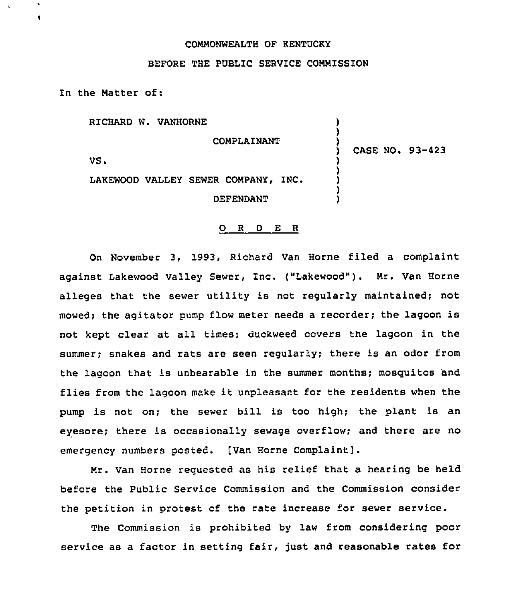## COMMONWEALTH OF KENTUCKY

# BEFORE THE PUBLIC SERVICE COMMISSION

In the Matter of:

RICHARD W. VANHORNE

**COMPLAINANT** 

) CASE NO. 93-423

) )

) ) ر<br>. ) )

VS.

 $\blacksquare$ 

LAKEWOOD VALLEY SEWER COMPANY, INC. **DEFENDANT** 

#### 0 <sup>R</sup> <sup>D</sup> E <sup>R</sup>

On November 3, 1993, Richard Van Horne filed a complaint against Lakewood Valley Sewer, Inc. ("Lakewood"). Mr. Van Horne alleges that the sewer utility is not regularly maintained; not mowed; the agitator pump flow meter needs <sup>a</sup> recorder; the lagoon is not kept clear at all times; duckweed covers the lagoon in the summer; snakes and rats are seen regularly; there is an odor from the lagoon that is unbearable in the summer months; mosguitos 'and flies from the lagoon make it unpleasant for the residents when the pump is not on; the sewer bill is too high; the plant is an eyesore; there is occasionally sewage overflow; and there are no emergency numbers posted. [Van Horne Complaint].

Mr. Van Horne reguested as his relief that a hearing be held before the Public Service Commission and the Commission consider the petition in protest of the rate increase for sewer service.

The Commission is prohibited by law from considering poor service as a factor in setting fair, just and reasonable rates for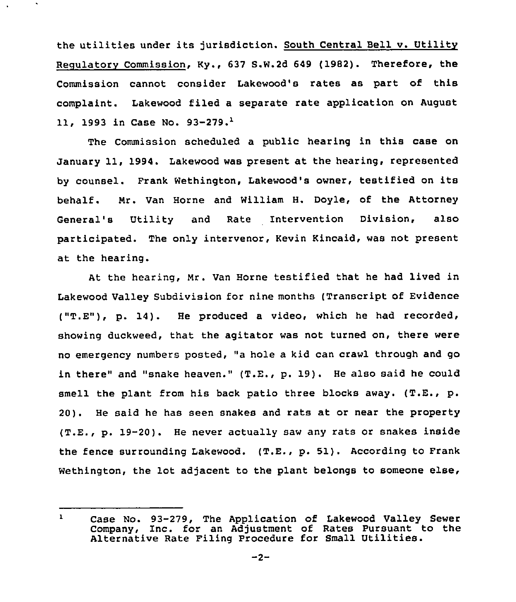the utilities under its jurisdiction. South Central Bell v. Utilitv Requlatorv Commission, Ky., 637 S.W.2d 649 (1982). Therefore, the Commission cannot consider Lakewood's rates as part of this complaint. Lakewood filed a separate rate application on August 11, 1993 in Case No. 93-279.<sup>1</sup>

The Commission scheduled a public hearing in this case on January 11, 1994. Lakewood was present at the hearing, represented by counsel. Frank Wethington, Lakewood's owner, testified on its behalf. Nr. Van Horne and William H. Doyle, of the Attorney General's Utility and Rate Intervention Division, also participated. The only intervenor, Kevin Kincaid, was not present at the hearing.

At the hearing, Mr. Van Horne testified that he had lived in Lakewood Valley Subdivision for nine months (Transcript of Evidence ("T.E"), p. 14). He produced <sup>a</sup> video, which he had recorded, showing duckweed, that the agitator was not turned on, there were no emergency numbers posted, "a hole a kid can crawl through and go in there" and "snake heaven." (T.E., p. 19). He also said he could smell the plant from his back patio three blocks away. (T.E., p. 20). He said he has seen snakes and rats at or near the property (T.E., p. 19-20). He never actually saw any rats or snakes inside the fence surrounding Lakewood. (T.E., p. 51). According to Frank Wethington, the lot adjacent to the plant belongs to someone else,

 $\mathbf{1}$ Case No. 93-279, The Application of Lakewood Valley Sewer Company, Inc. for an Adjustment of Rates Pursuant to the Alternative Rate Filing Procedure for Small Utilities.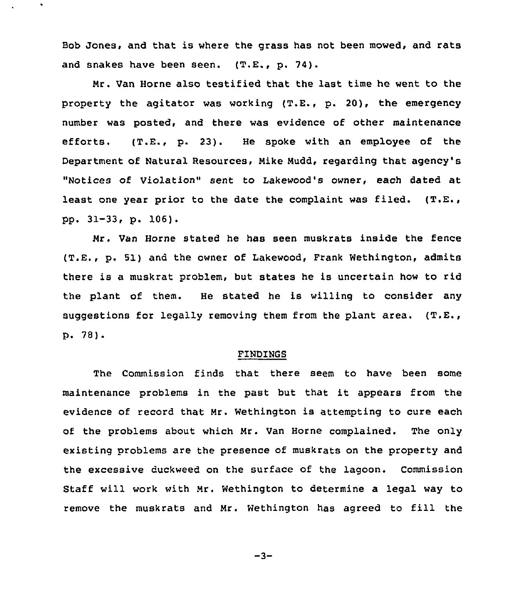Bob Jones, and that is where the grass has not been mowed, and rats and snakes have been seen. (T.E., p. 74).

 $\blacksquare$ 

Mr. Van Horne also testified that the last time he went to the property the agitator was working (T.E., p. 20), the emergency number was posted, and there was evidence of other maintenance efforts. (T.E., p. 23). He spoke with an employee of the Department of Natural Resources, Mike Mudd, regarding that agency's "Notices of Violation" sent to Iakewood's owner, each dated at least one year prior to the date the complaint was filed. (T.E., pp. 31-33, p. 106).

Mr. Van Horne stated he has seen muskrats inside the fence (T.E., p. 51) and the owner of Lakewood, Frank Wethington, admits there is a muskrat problem, but states he is uncertain how to rid the plant of them. He stated he is willing to consider any suggestions for legally removing them from the plant area.  $(T.E., g.)$  $p.78$ .

## FINDINGS

The Commission finds that there seem to have been some maintenance problems in the past but that it appears from the evidence of record that Mr. Wethington is attempting to cure each of the problems about which Mr. Van Horne complained. The only existing problems are the presence of muskrats on the property and the excessive duckweed on the surface of the lagoon. Commission Staff will work with Mr. Wethington to determine a legal way to remove the muskrats and Mr. Wethington has agreed to fill the

 $-3-$